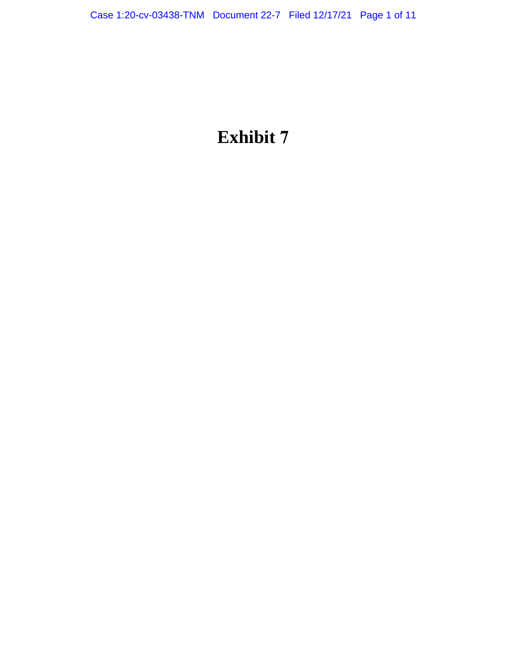# **Exhibit 7**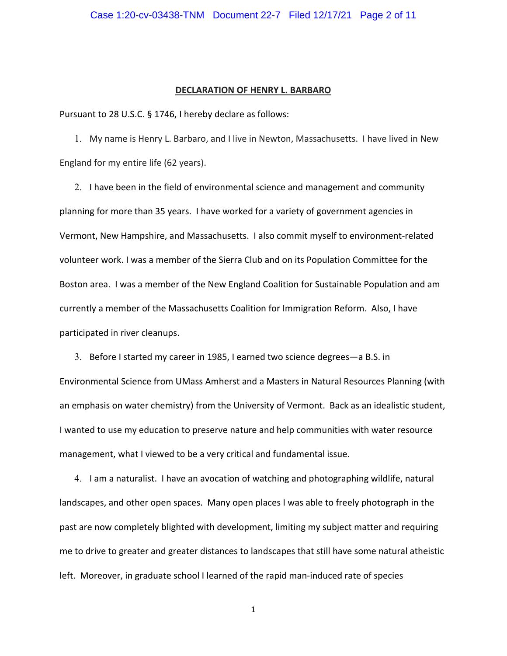#### **DECLARATION OF HENRY L. BARBARO**

Pursuant to 28 U.S.C. § 1746, I hereby declare as follows:

1. My name is Henry L. Barbaro, and I live in Newton, Massachusetts. I have lived in New England for my entire life (62 years).

2. I have been in the field of environmental science and management and community planning for more than 35 years. I have worked for a variety of government agencies in Vermont, New Hampshire, and Massachusetts. I also commit myself to environment‐related volunteer work. I was a member of the Sierra Club and on its Population Committee for the Boston area. I was a member of the New England Coalition for Sustainable Population and am currently a member of the Massachusetts Coalition for Immigration Reform. Also, I have participated in river cleanups.

3. Before I started my career in 1985, I earned two science degrees—a B.S. in Environmental Science from UMass Amherst and a Masters in Natural Resources Planning (with an emphasis on water chemistry) from the University of Vermont. Back as an idealistic student, I wanted to use my education to preserve nature and help communities with water resource management, what I viewed to be a very critical and fundamental issue.

4. I am a naturalist. I have an avocation of watching and photographing wildlife, natural landscapes, and other open spaces. Many open places I was able to freely photograph in the past are now completely blighted with development, limiting my subject matter and requiring me to drive to greater and greater distances to landscapes that still have some natural atheistic left. Moreover, in graduate school I learned of the rapid man-induced rate of species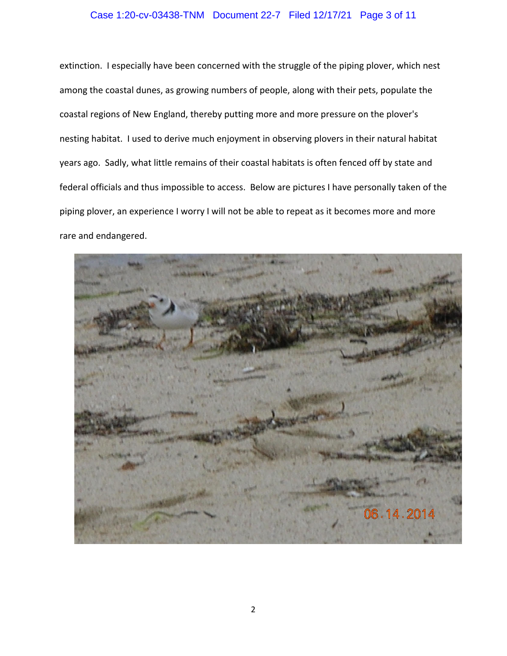## Case 1:20-cv-03438-TNM Document 22-7 Filed 12/17/21 Page 3 of 11

extinction. I especially have been concerned with the struggle of the piping plover, which nest among the coastal dunes, as growing numbers of people, along with their pets, populate the coastal regions of New England, thereby putting more and more pressure on the plover's nesting habitat. I used to derive much enjoyment in observing plovers in their natural habitat years ago. Sadly, what little remains of their coastal habitats is often fenced off by state and federal officials and thus impossible to access. Below are pictures I have personally taken of the piping plover, an experience I worry I will not be able to repeat as it becomes more and more rare and endangered.

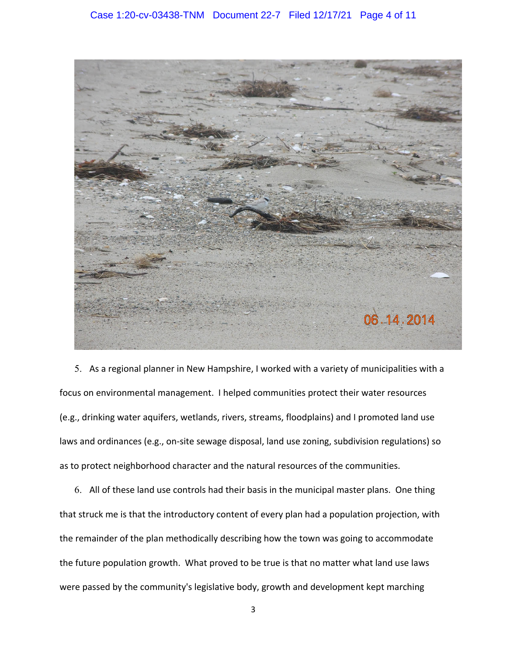

5. As a regional planner in New Hampshire, I worked with a variety of municipalities with a focus on environmental management. I helped communities protect their water resources (e.g., drinking water aquifers, wetlands, rivers, streams, floodplains) and I promoted land use laws and ordinances (e.g., on-site sewage disposal, land use zoning, subdivision regulations) so as to protect neighborhood character and the natural resources of the communities.

6. All of these land use controls had their basis in the municipal master plans. One thing that struck me is that the introductory content of every plan had a population projection, with the remainder of the plan methodically describing how the town was going to accommodate the future population growth. What proved to be true is that no matter what land use laws were passed by the community's legislative body, growth and development kept marching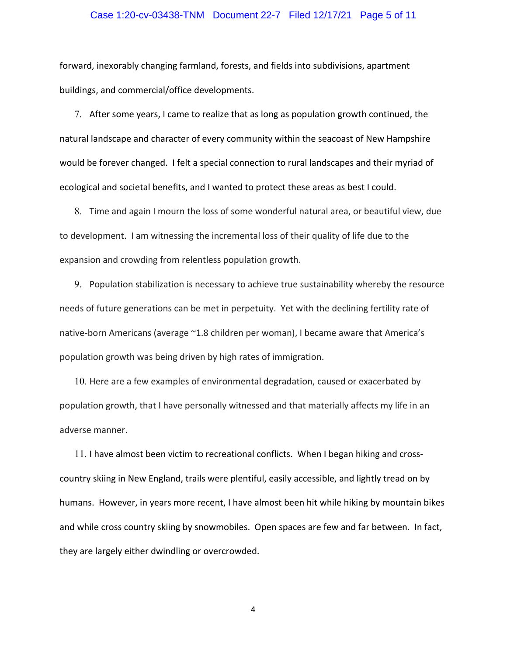### Case 1:20-cv-03438-TNM Document 22-7 Filed 12/17/21 Page 5 of 11

forward, inexorably changing farmland, forests, and fields into subdivisions, apartment buildings, and commercial/office developments.

7. After some years, I came to realize that as long as population growth continued, the natural landscape and character of every community within the seacoast of New Hampshire would be forever changed. I felt a special connection to rural landscapes and their myriad of ecological and societal benefits, and I wanted to protect these areas as best I could.

8. Time and again I mourn the loss of some wonderful natural area, or beautiful view, due to development. I am witnessing the incremental loss of their quality of life due to the expansion and crowding from relentless population growth.

9. Population stabilization is necessary to achieve true sustainability whereby the resource needs of future generations can be met in perpetuity. Yet with the declining fertility rate of native-born Americans (average ~1.8 children per woman), I became aware that America's population growth was being driven by high rates of immigration.

10. Here are a few examples of environmental degradation, caused or exacerbated by population growth, that I have personally witnessed and that materially affects my life in an adverse manner.

11. I have almost been victim to recreational conflicts. When I began hiking and cross‐ country skiing in New England, trails were plentiful, easily accessible, and lightly tread on by humans. However, in years more recent, I have almost been hit while hiking by mountain bikes and while cross country skiing by snowmobiles. Open spaces are few and far between. In fact, they are largely either dwindling or overcrowded.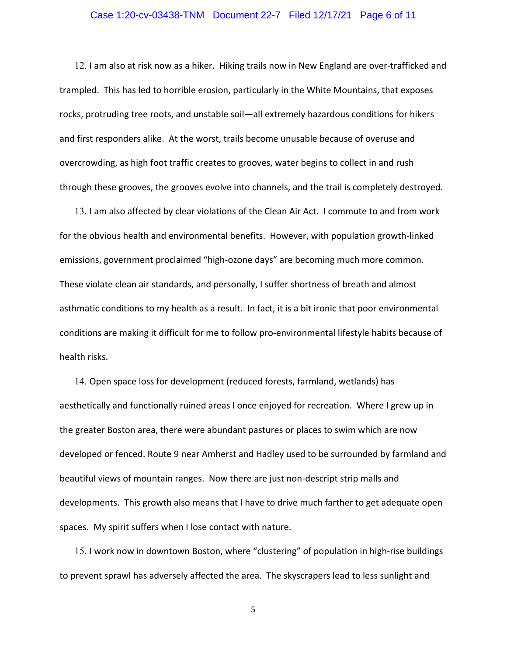#### Case 1:20-cv-03438-TNM Document 22-7 Filed 12/17/21 Page 6 of 11

12. I am also at risk now as a hiker. Hiking trails now in New England are over-trafficked and trampled. This has led to horrible erosion, particularly in the White Mountains, that exposes rocks, protruding tree roots, and unstable soil—all extremely hazardous conditions for hikers and first responders alike. At the worst, trails become unusable because of overuse and overcrowding, as high foot traffic creates to grooves, water begins to collect in and rush through these grooves, the grooves evolve into channels, and the trail is completely destroyed.

13. I am also affected by clear violations of the Clean Air Act. I commute to and from work for the obvious health and environmental benefits. However, with population growth‐linked emissions, government proclaimed "high‐ozone days" are becoming much more common. These violate clean air standards, and personally, I suffer shortness of breath and almost asthmatic conditions to my health as a result. In fact, it is a bit ironic that poor environmental conditions are making it difficult for me to follow pro‐environmental lifestyle habits because of health risks.

14. Open space loss for development (reduced forests, farmland, wetlands) has aesthetically and functionally ruined areas I once enjoyed for recreation. Where I grew up in the greater Boston area, there were abundant pastures or places to swim which are now developed or fenced. Route 9 near Amherst and Hadley used to be surrounded by farmland and beautiful views of mountain ranges. Now there are just non‐descript strip malls and developments. This growth also means that I have to drive much farther to get adequate open spaces. My spirit suffers when I lose contact with nature.

15. I work now in downtown Boston, where "clustering" of population in high-rise buildings to prevent sprawl has adversely affected the area. The skyscrapers lead to less sunlight and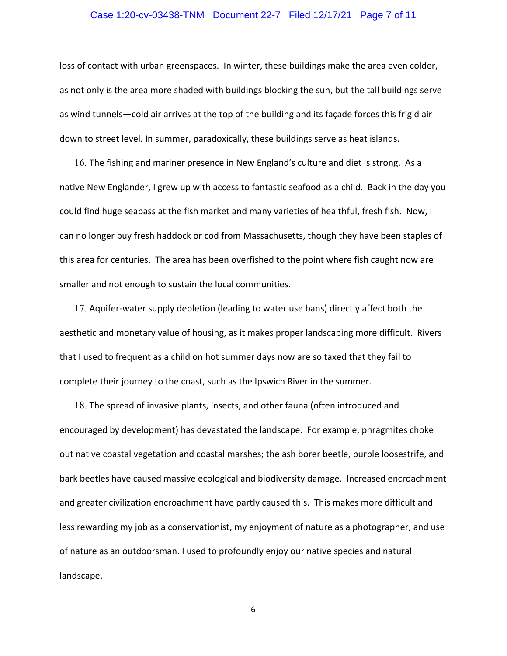#### Case 1:20-cv-03438-TNM Document 22-7 Filed 12/17/21 Page 7 of 11

loss of contact with urban greenspaces. In winter, these buildings make the area even colder, as not only is the area more shaded with buildings blocking the sun, but the tall buildings serve as wind tunnels—cold air arrives at the top of the building and its façade forces this frigid air down to street level. In summer, paradoxically, these buildings serve as heat islands.

16. The fishing and mariner presence in New England's culture and diet is strong. As a native New Englander, I grew up with access to fantastic seafood as a child. Back in the day you could find huge seabass at the fish market and many varieties of healthful, fresh fish. Now, I can no longer buy fresh haddock or cod from Massachusetts, though they have been staples of this area for centuries. The area has been overfished to the point where fish caught now are smaller and not enough to sustain the local communities.

17. Aquifer-water supply depletion (leading to water use bans) directly affect both the aesthetic and monetary value of housing, as it makes proper landscaping more difficult. Rivers that I used to frequent as a child on hot summer days now are so taxed that they fail to complete their journey to the coast, such as the Ipswich River in the summer.

18. The spread of invasive plants, insects, and other fauna (often introduced and encouraged by development) has devastated the landscape. For example, phragmites choke out native coastal vegetation and coastal marshes; the ash borer beetle, purple loosestrife, and bark beetles have caused massive ecological and biodiversity damage. Increased encroachment and greater civilization encroachment have partly caused this. This makes more difficult and less rewarding my job as a conservationist, my enjoyment of nature as a photographer, and use of nature as an outdoorsman. I used to profoundly enjoy our native species and natural landscape.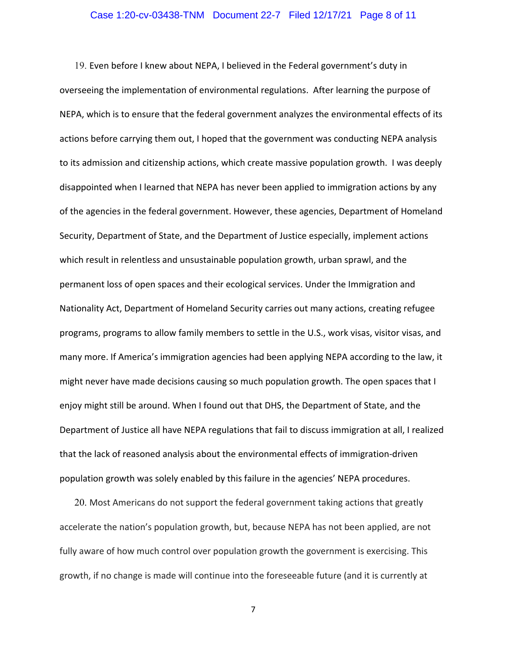#### Case 1:20-cv-03438-TNM Document 22-7 Filed 12/17/21 Page 8 of 11

19. Even before I knew about NEPA, I believed in the Federal government's duty in overseeing the implementation of environmental regulations. After learning the purpose of NEPA, which is to ensure that the federal government analyzes the environmental effects of its actions before carrying them out, I hoped that the government was conducting NEPA analysis to its admission and citizenship actions, which create massive population growth. I was deeply disappointed when I learned that NEPA has never been applied to immigration actions by any of the agencies in the federal government. However, these agencies, Department of Homeland Security, Department of State, and the Department of Justice especially, implement actions which result in relentless and unsustainable population growth, urban sprawl, and the permanent loss of open spaces and their ecological services. Under the Immigration and Nationality Act, Department of Homeland Security carries out many actions, creating refugee programs, programs to allow family members to settle in the U.S., work visas, visitor visas, and many more. If America's immigration agencies had been applying NEPA according to the law, it might never have made decisions causing so much population growth. The open spaces that I enjoy might still be around. When I found out that DHS, the Department of State, and the Department of Justice all have NEPA regulations that fail to discuss immigration at all, I realized that the lack of reasoned analysis about the environmental effects of immigration‐driven population growth was solely enabled by this failure in the agencies' NEPA procedures.

20. Most Americans do not support the federal government taking actions that greatly accelerate the nation's population growth, but, because NEPA has not been applied, are not fully aware of how much control over population growth the government is exercising. This growth, if no change is made will continue into the foreseeable future (and it is currently at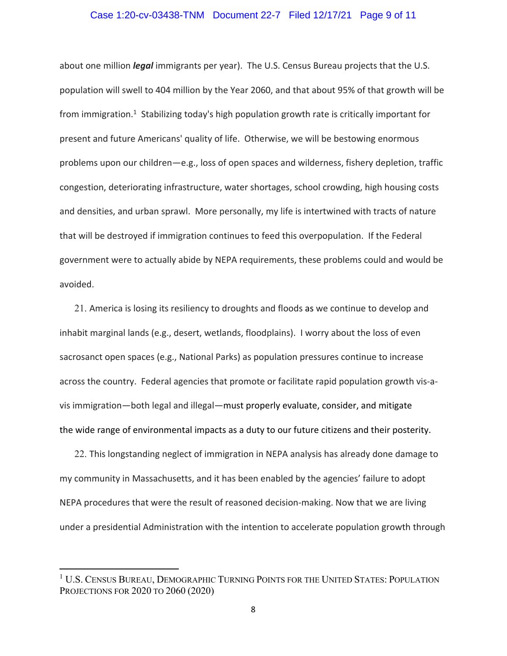#### Case 1:20-cv-03438-TNM Document 22-7 Filed 12/17/21 Page 9 of 11

about one million *legal* immigrants per year). The U.S. Census Bureau projects that the U.S. population will swell to 404 million by the Year 2060, and that about 95% of that growth will be from immigration.<sup>1</sup> Stabilizing today's high population growth rate is critically important for present and future Americans' quality of life. Otherwise, we will be bestowing enormous problems upon our children—e.g., loss of open spaces and wilderness, fishery depletion, traffic congestion, deteriorating infrastructure, water shortages, school crowding, high housing costs and densities, and urban sprawl. More personally, my life is intertwined with tracts of nature that will be destroyed if immigration continues to feed this overpopulation. If the Federal government were to actually abide by NEPA requirements, these problems could and would be avoided.

21. America is losing its resiliency to droughts and floods as we continue to develop and inhabit marginal lands (e.g., desert, wetlands, floodplains). I worry about the loss of even sacrosanct open spaces (e.g., National Parks) as population pressures continue to increase across the country. Federal agencies that promote or facilitate rapid population growth vis-avis immigration—both legal and illegal—must properly evaluate, consider, and mitigate the wide range of environmental impacts as a duty to our future citizens and their posterity.

22. This longstanding neglect of immigration in NEPA analysis has already done damage to my community in Massachusetts, and it has been enabled by the agencies' failure to adopt NEPA procedures that were the result of reasoned decision‐making. Now that we are living under a presidential Administration with the intention to accelerate population growth through

<sup>&</sup>lt;sup>1</sup> U.S. CENSUS BUREAU, DEMOGRAPHIC TURNING POINTS FOR THE UNITED STATES: POPULATION PROJECTIONS FOR 2020 TO 2060 (2020)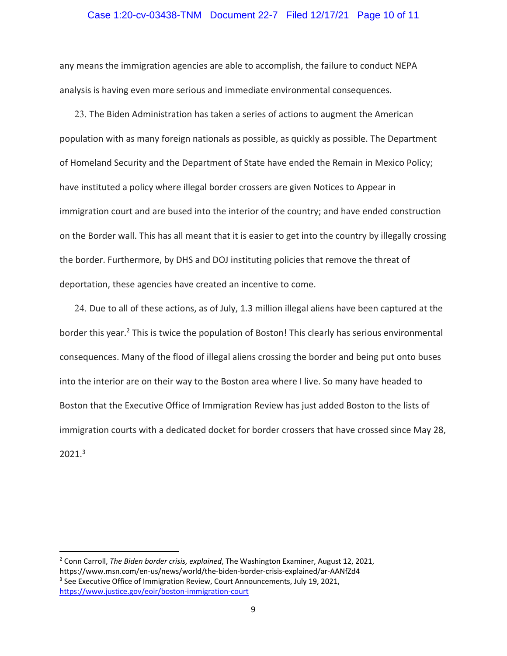#### Case 1:20-cv-03438-TNM Document 22-7 Filed 12/17/21 Page 10 of 11

any means the immigration agencies are able to accomplish, the failure to conduct NEPA analysis is having even more serious and immediate environmental consequences.

23. The Biden Administration has taken a series of actions to augment the American population with as many foreign nationals as possible, as quickly as possible. The Department of Homeland Security and the Department of State have ended the Remain in Mexico Policy; have instituted a policy where illegal border crossers are given Notices to Appear in immigration court and are bused into the interior of the country; and have ended construction on the Border wall. This has all meant that it is easier to get into the country by illegally crossing the border. Furthermore, by DHS and DOJ instituting policies that remove the threat of deportation, these agencies have created an incentive to come.

24. Due to all of these actions, as of July, 1.3 million illegal aliens have been captured at the border this year.<sup>2</sup> This is twice the population of Boston! This clearly has serious environmental consequences. Many of the flood of illegal aliens crossing the border and being put onto buses into the interior are on their way to the Boston area where I live. So many have headed to Boston that the Executive Office of Immigration Review has just added Boston to the lists of immigration courts with a dedicated docket for border crossers that have crossed since May 28, 2021.3

<sup>2</sup> Conn Carroll, *The Biden border crisis, explained*, The Washington Examiner, August 12, 2021, https://www.msn.com/en‐us/news/world/the‐biden‐border‐crisis‐explained/ar‐AANfZd4

<sup>&</sup>lt;sup>3</sup> See Executive Office of Immigration Review, Court Announcements, July 19, 2021, https://www.justice.gov/eoir/boston‐immigration‐court